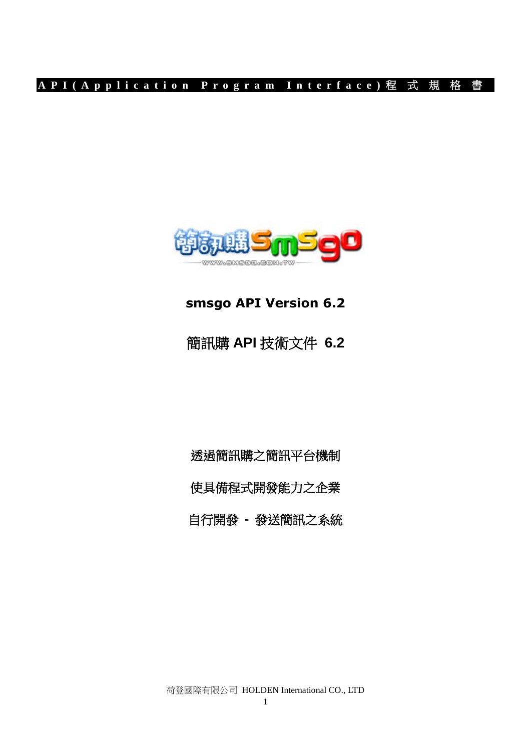

# **smsgo API Version 6.2**

# 簡訊購 **API** 技術文件 **6.2**

透過簡訊購之簡訊平台機制 使具備程式開發能力之企業 自行開發 **-** 發送簡訊之系統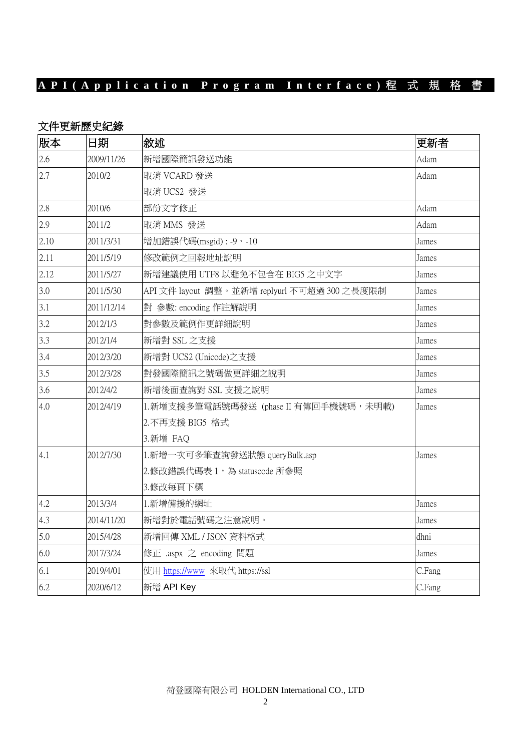### 文件更新歷史紀錄

| 版本   | 日期         | 敘述                                           | 更新者    |
|------|------------|----------------------------------------------|--------|
| 2.6  | 2009/11/26 | 新增國際簡訊發送功能                                   | Adam   |
| 2.7  | 2010/2     | 取消 VCARD 發送                                  | Adam   |
|      |            | 取消 UCS2 發送                                   |        |
| 2.8  | 2010/6     | 部份文字修正                                       | Adam   |
| 2.9  | 2011/2     | 取消 MMS 發送                                    | Adam   |
| 2.10 | 2011/3/31  | 增加錯誤代碼(msgid): -9、-10                        | James  |
| 2.11 | 2011/5/19  | 修改範例之回報地址說明                                  | James  |
| 2.12 | 2011/5/27  | 新增建議使用 UTF8 以避免不包含在 BIG5 之中文字                | James  |
| 3.0  | 2011/5/30  | API 文件 layout 調整。並新增 replyurl 不可超過 300 之長度限制 | James  |
| 3.1  | 2011/12/14 | 對 參數: encoding 作註解說明                         | James  |
| 3.2  | 2012/1/3   | 對參數及範例作更詳細說明                                 | James  |
| 3.3  | 2012/1/4   | 新增對 SSL 之支援                                  | James  |
| 3.4  | 2012/3/20  | 新增對 UCS2 (Unicode)之支援                        | James  |
| 3.5  | 2012/3/28  | 對發國際簡訊之號碼做更詳細之說明                             | James  |
| 3.6  | 2012/4/2   | 新增後面查詢對 SSL 支援之說明                            | James  |
| 4.0  | 2012/4/19  | 1.新增支援多筆電話號碼發送 (phase II 有傳回手機號碼,未明載)        | James  |
|      |            | 2.不再支援 BIG5 格式                               |        |
|      |            | 3.新增 FAQ                                     |        |
| 4.1  | 2012/7/30  | 1.新增一次可多筆查詢發送狀態 queryBulk.asp                | James  |
|      |            | 2.修改錯誤代碼表 1, 為 statuscode 所參照                |        |
|      |            | 3.修改每頁下標                                     |        |
| 4.2  | 2013/3/4   | 1.新增備援的網址                                    | James  |
| 4.3  | 2014/11/20 | 新增對於電話號碼之注意說明。                               | James  |
| 5.0  | 2015/4/28  | 新增回傳 XML / JSON 資料格式                         | dhni   |
| 6.0  | 2017/3/24  | 修正 .aspx 之 encoding 問題                       | James  |
| 6.1  | 2019/4/01  | 使用 https://www 來取代 https://ssl               | C.Fang |
| 6.2  | 2020/6/12  | 新增 API Key                                   | C.Fang |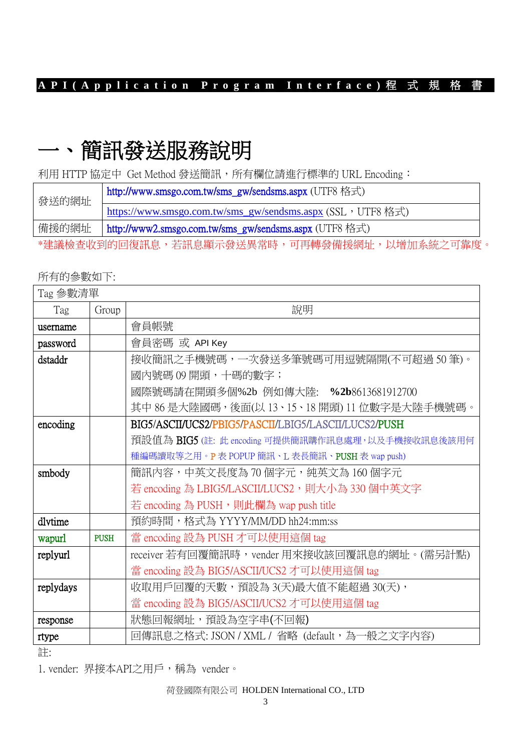# 一、簡訊發送服務說明

利用 HTTP 協定中 Get Method 發送簡訊,所有欄位請進行標準的 URL Encoding:

| 發送的網址                                       | http://www.smsgo.com.tw/sms_gw/sendsms.aspx (UTF8 格式)       |  |
|---------------------------------------------|-------------------------------------------------------------|--|
|                                             | https://www.smsgo.com.tw/sms_gw/sendsms.aspx (SSL, UTF8 格式) |  |
| 備援的網址                                       | http://www2.smsgo.com.tw/sms_gw/sendsms.aspx (UTF8 格式)      |  |
| *建議檢查收到的回復訊息,若訊息顯示發送異常時,可再轉發備援網址,以增加系統之可靠度。 |                                                             |  |

### 所有的參數如下:

| Tag 參數清單  |             |                                                      |  |
|-----------|-------------|------------------------------------------------------|--|
| Tag       | Group       | 說明                                                   |  |
| username  |             | 會員帳號                                                 |  |
| password  |             | 會員密碼 或 API Key                                       |  |
| dstaddr   |             | 接收簡訊之手機號碼,一次發送多筆號碼可用逗號隔開(不可超過 50 筆)。                 |  |
|           |             | 國內號碼 09開頭,十碼的數字;                                     |  |
|           |             | 國際號碼請在開頭多個%2b 例如傳大陸: % <b>2b</b> 8613681912700       |  |
|           |             | 其中 86 是大陸國碼,後面(以 13、15、18 開頭) 11 位數字是大陸手機號碼。         |  |
| encoding  |             | BIG5/ASCII/UCS2/PBIG5/PASCII/LBIG5/LASCII/LUCS2/PUSH |  |
|           |             | 預設值為 BIG5 (註: 此 encoding 可提供簡訊購作訊息處理, 以及手機接收訊息後該用何   |  |
|           |             | 種編碼讀取等之用。P表 POPUP 簡訊、L 表長簡訊、PUSH 表 wap push)         |  |
| smbody    |             | 簡訊內容,中英文長度為 70 個字元,純英文為 160 個字元                      |  |
|           |             | 若 encoding 為 LBIG5/LASCII/LUCS2,則大小為 330個中英文字        |  |
|           |             | 若 encoding 為 PUSH,則此欄為 wap push title                |  |
| dlytime   |             | 預約時間,格式為 YYYY/MM/DD hh24:mm:ss                       |  |
| wapurl    | <b>PUSH</b> | 當 encoding 設為 PUSH 才可以使用這個 tag                       |  |
| replyurl  |             | receiver 若有回覆簡訊時, vender 用來接收該回覆訊息的網址。(需另計點)         |  |
|           |             | 當 encoding 設為 BIG5/ASCII/UCS2 才可以使用這個 tag            |  |
| replydays |             | 收取用戶回覆的天數,預設為 3(天)最大值不能超過 30(天),                     |  |
|           |             | 當 encoding 設為 BIG5/ASCII/UCS2 才可以使用這個 tag            |  |
| response  |             | 狀態回報網址,預設為空字串(不回報)                                   |  |
| rtype     |             | 回傳訊息之格式: JSON / XML / 省略 (default,為一般之文字內容)          |  |

註:

1. vender: 界接本API之用戶,稱為 vender。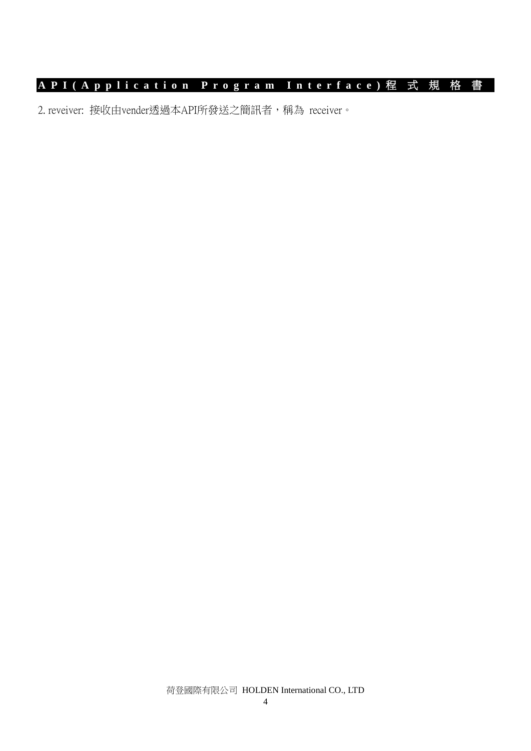2. reveiver: 接收由vender透過本API所發送之簡訊者,稱為 receiver。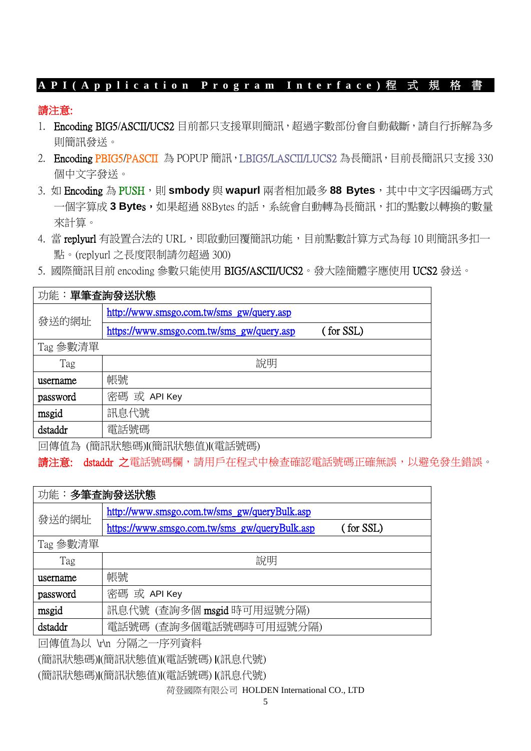### 請注意:

- 1. Encoding BIG5/ASCII/UCS2 目前都只支援單則簡訊,超過字數部份會自動截斷,請自行拆解為多 則簡訊發送。
- 2. Encoding PBIG5/PASCII 為 POPUP 簡訊, LBIG5/LASCII/LUCS2 為長簡訊, 目前長簡訊只支援 330 個中文字發送。
- 3. 如 Encoding 為 PUSH, 則 smbody 與 wapurl 兩者相加最多 88 Bytes, 其中中文字因編碼方式 一個字算成3Bytes,如果超過 88Bytes 的話,系統會自動轉為長簡訊,扣的點數以轉換的數量 來計算。
- 4. 當 replyurl 有設置合法的 URL,即啟動回覆簡訊功能,目前點數計算方式為每 10 則簡訊多扣一 點。(replyurl 之長度限制請勿超過 300)
- 5. 國際簡訊目前 encoding 參數只能使用 BIG5/ASCII/UCS2。發大陸簡體字應使用 UCS2 發送。

| 功能: 單筆查詢發送狀態 |                                           |           |  |
|--------------|-------------------------------------------|-----------|--|
| 發送的網址        | http://www.smsgo.com.tw/sms_gw/query.asp  |           |  |
|              | https://www.smsgo.com.tw/sms_gw/query.asp | (for SSL) |  |
| Tag 參數清單     |                                           |           |  |
| Tag          | 說明                                        |           |  |
| username     | 帳號                                        |           |  |
| password     | 密碼 或 API Key                              |           |  |
| msgid        | 訊息代號                                      |           |  |
| dstaddr      | 電話號碼                                      |           |  |

回傳值為 (簡訊狀態碼)|(簡訊狀態值)|(電話號碼)

請注意: dstaddr 之電話號碼欄,請用戶在程式中檢查確認電話號碼正確無誤,以避免發生錯誤。

| 功能:多筆查詢發送狀態 |                                                            |  |
|-------------|------------------------------------------------------------|--|
| 發送的網址       | http://www.smsgo.com.tw/sms_gw/queryBulk.asp               |  |
|             | (for SSL)<br>https://www.smsgo.com.tw/sms_gw/queryBulk.asp |  |
| Tag 参數清單    |                                                            |  |
| Tag         | 說明                                                         |  |
| username    | 帳號                                                         |  |
| password    | 密碼 或 API Key                                               |  |
| msgid       | 訊息代號 (查詢多個 msgid 時可用逗號分隔)                                  |  |
| dstaddr     | 電話號碼 (查詢多個電話號碼時可用逗號分隔)                                     |  |

回傳值為以 \r\n 分隔之一序列資料

(簡訊狀態碼)|(簡訊狀態值)|(電話號碼) |(訊息代號)

(簡訊狀態碼)|(簡訊狀態值)|(電話號碼) |(訊息代號)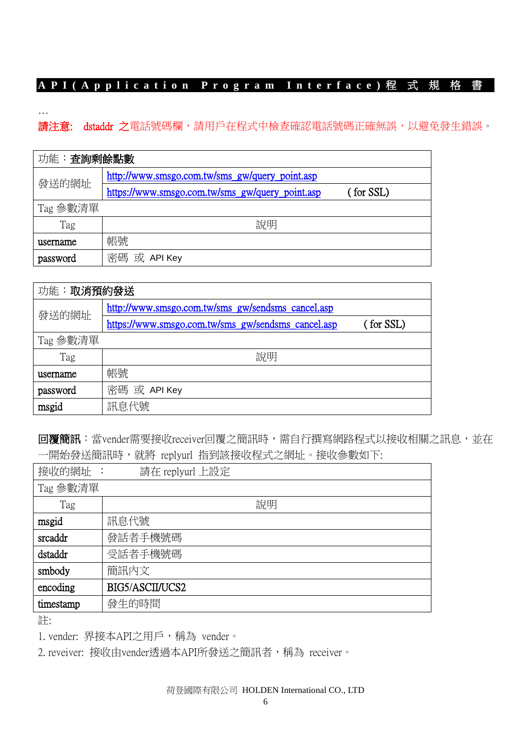…

請注意: dstaddr 之電話號碼欄,請用戶在程式中檢查確認電話號碼正確無誤,以避免發生錯誤。

| 功能:查詢剩餘點數 |                                                              |  |  |
|-----------|--------------------------------------------------------------|--|--|
|           | http://www.smsgo.com.tw/sms_gw/query_point.asp               |  |  |
| 發送的網址     | https://www.smsgo.com.tw/sms_gw/query_point.asp<br>(for SSL) |  |  |
| Tag 參數清單  |                                                              |  |  |
| Tag       | 說明                                                           |  |  |
| username  | 帳號                                                           |  |  |
| password  | 密碼 或 API Key                                                 |  |  |

| 功能:取消預約發送 |                                                    |           |  |
|-----------|----------------------------------------------------|-----------|--|
| 發送的網址     | http://www.smsgo.com.tw/sms_gw/sendsms_cancel.asp  |           |  |
|           | https://www.smsgo.com.tw/sms_gw/sendsms_cancel.asp | (for SSL) |  |
| Tag 參數清單  |                                                    |           |  |
| Tag       | 說明                                                 |           |  |
| username  | 帳號                                                 |           |  |
| password  | 密碼 或 API Key                                       |           |  |
| msgid     | 訊息代號                                               |           |  |

回覆簡訊:當vender需要接收receiver回覆之簡訊時,需自行撰寫網路程式以接收相關之訊息,並在 一開始發送簡訊時,就將 replyurl 指到該接收程式之網址。接收參數如下:

| 接收的網址:<br>請在 replyurl 上設定 |                 |  |  |
|---------------------------|-----------------|--|--|
| Tag 参數清單                  |                 |  |  |
| Tag                       | 說明              |  |  |
| msgid                     | 訊息代號            |  |  |
| srcaddr                   | 發話者手機號碼         |  |  |
| dstaddr                   | 受話者手機號碼         |  |  |
| smbody                    | 簡訊內文            |  |  |
| encoding                  | BIG5/ASCII/UCS2 |  |  |
| timestamp                 | 發生的時間           |  |  |

註:

1. vender: 界接本API之用戶,稱為 vender。

2. reveiver: 接收由vender透過本API所發送之簡訊者,稱為 receiver。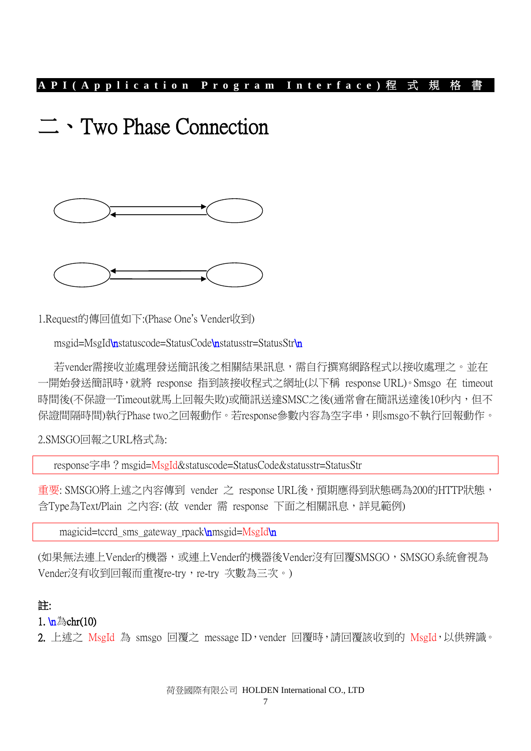# 二、Two Phase Connection





1.Request的傳回值如下:(Phase One's Vender收到)

msgid=MsgId\nstatuscode=StatusCode\nstatusstr=StatusStr\n

若vender需接收並處理發送簡訊後之相關結果訊息,需自行撰寫網路程式以接收處理之。並在 一開始發送簡訊時,就將 response 指到該接收程式之網址(以下稱 response URL)。Smsgo 在 timeout 時間後(不保證一Timeout就馬上回報失敗)或簡訊送達SMSC之後(通常會在簡訊送達後10秒內,但不 保證間隔時間)執行Phase two之回報動作。若response參數內容為空字串,則smsgo不執行回報動作。

2.SMSGO回報之URL格式為:

response字串?msgid=MsgId&statuscode=StatusCode&statusstr=StatusStr

重要: SMSGO將上述之內容傳到 vender 之 response URL後, 預期應得到狀態碼為200的HTTP狀態, 含Type為Text/Plain 之内容: (故 vender 需 response 下面之相關訊息,詳見範例)

magicid=tccrd\_sms\_gateway\_rpack\nmsgid=MsgId\n

(如果無法連上Vender的機器,或連上Vender的機器後Vender沒有回覆SMSGO, SMSGO系統會視為 Vender沒有收到回報而重複re-try,re-try 次數為三次。)

### 註:

### 1.  $\ln \frac{1}{2}$ chr(10)

2. 上述之 MsgId 為 smsgo 回覆之 message ID, vender 回覆時,請回覆該收到的 MsgId,以供辨識。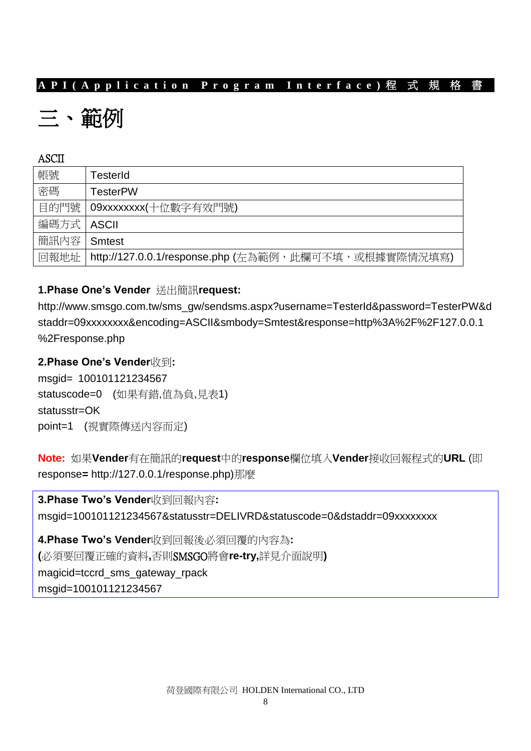# 三、範例

### ASCII

| 帳號           | TesterId                                                    |
|--------------|-------------------------------------------------------------|
|              |                                                             |
| 溶碼           | <b>TesterPW</b>                                             |
|              |                                                             |
|              | 目的門號   09xxxxxxxx(十位數字有效門號)                                 |
| 編碼方式   ASCII |                                                             |
|              |                                                             |
| 簡訊內容丨        |                                                             |
|              | <b>Smtest</b>                                               |
|              |                                                             |
|              | 回報地址   http://127.0.0.1/response.php (左為範例,此欄可不填,或根據實際情況填寫) |

### **1.Phase One's Vender** 送出簡訊**request:**

http://www.smsgo.com.tw/sms\_gw/sendsms.aspx?username=TesterId&password=TesterPW&d staddr=09xxxxxxxx&encoding=ASCII&smbody=Smtest&response=http%3A%2F%2F127.0.0.1 %2Fresponse.php

**2.Phase One's Vender**收到**:** 

msgid= 100101121234567 statuscode=0 (如果有錯,值為負,見表1) statusstr=OK point=1 (視實際傳送內容而定)

**Note:** 如果**Vender**有在簡訊的**request**中的**response**欄位填入**Vender**接收回報程式的**URL** (即 response**=** http://127.0.0.1/response.php)那麼

**3.Phase Two's Vender**收到回報內容**:**  msgid=100101121234567&statusstr=DELIVRD&statuscode=0&dstaddr=09xxxxxxxx

**4.Phase Two's Vender**收到回報後必須回覆的內容為**: (**必須要回覆正確的資料**,**否則SMSGO將會**re-try,**詳見介面說明**)**  magicid=tccrd\_sms\_gateway\_rpack msgid=100101121234567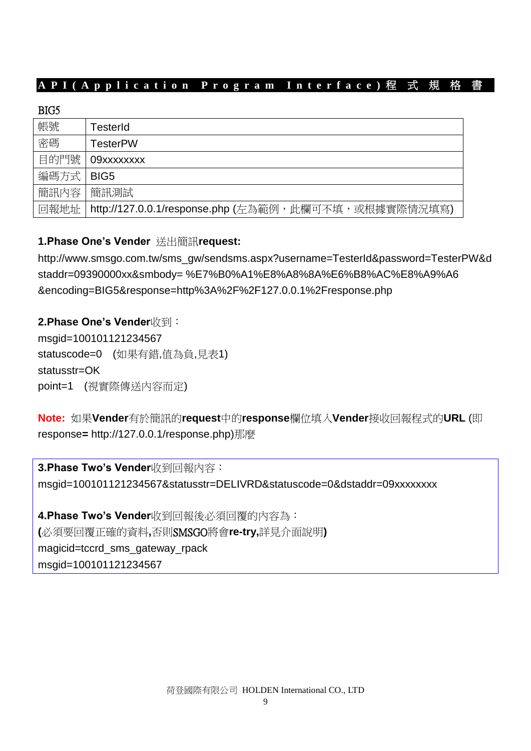| BIG5 |                                                      |
|------|------------------------------------------------------|
| 帳號   | TesterId                                             |
| 密碼   | <b>TesterPW</b>                                      |
| 目的門號 | 09xxxxxxxx                                           |
| 編碼方式 | BIG <sub>5</sub>                                     |
| 簡訊內容 | 簡訊測試                                                 |
| 回報地址 | http://127.0.0.1/response.php (左為範例,此欄可不填,或根據實際情況填寫) |

### **1.Phase One's Vender** 送出簡訊**request:**

http://www.smsgo.com.tw/sms\_gw/sendsms.aspx?username=TesterId&password=TesterPW&d staddr=09390000xx&smbody= %E7%B0%A1%E8%A8%8A%E6%B8%AC%E8%A9%A6 &encoding=BIG5&response=http%3A%2F%2F127.0.0.1%2Fresponse.php

**2.Phase One's Vender**收到: msgid=100101121234567 statuscode=0 (如果有錯,值為負,見表1) statusstr=OK point=1 (視實際傳送內容而定)

**Note:** 如果**Vender**有於簡訊的**request**中的**response**欄位填入**Vender**接收回報程式的**URL** (即 response**=** http://127.0.0.1/response.php)那麼

**3.Phase Two's Vender**收到回報內容: msgid=100101121234567&statusstr=DELIVRD&statuscode=0&dstaddr=09xxxxxxxx

**4.Phase Two's Vender**收到回報後必須回覆的內容為: **(**必須要回覆正確的資料**,**否則SMSGO將會**re-try,**詳見介面說明**)**  magicid=tccrd\_sms\_gateway\_rpack msgid=100101121234567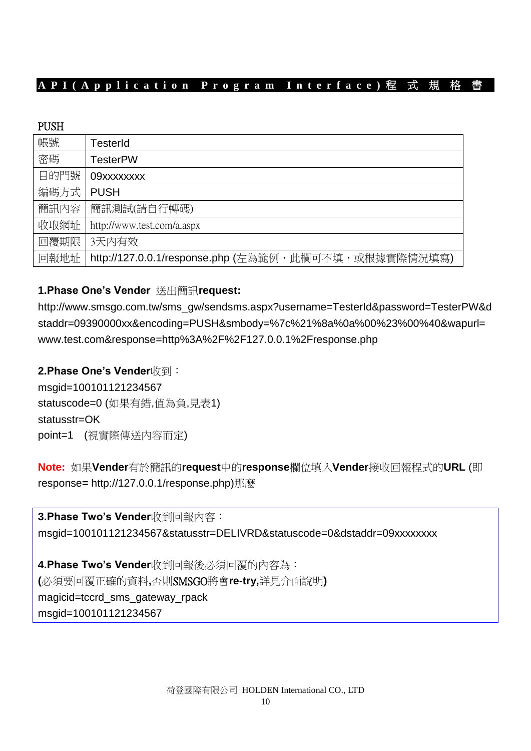### PUSH

| 帳號   | TesterId                                             |
|------|------------------------------------------------------|
| 密碼   | <b>TesterPW</b>                                      |
| 目的門號 | 09xxxxxxxx                                           |
| 編碼方式 | <b>PUSH</b>                                          |
| 簡訊內容 | 簡訊測試(請自行轉碼)                                          |
| 收取網址 | http://www.test.com/a.aspx                           |
| 回覆期限 | 3天内有效                                                |
| 回報地址 | http://127.0.0.1/response.php (左為範例,此欄可不填,或根據實際情況填寫) |

### **1.Phase One's Vender** 送出簡訊**request:**

http://www.smsgo.com.tw/sms\_gw/sendsms.aspx?username=TesterId&password=TesterPW&d staddr=09390000xx&encoding=PUSH&smbody=%7c%21%8a%0a%00%23%00%40&wapurl= www.test.com&response=http%3A%2F%2F127.0.0.1%2Fresponse.php

### **2.Phase One's Vender**收到:

msgid=100101121234567 statuscode=0 (如果有錯,值為負,見表1) statusstr=OK point=1 (視實際傳送內容而定)

**Note:** 如果**Vender**有於簡訊的**request**中的**response**欄位填入**Vender**接收回報程式的**URL** (即 response**=** http://127.0.0.1/response.php)那麼

**3.Phase Two's Vender**收到回報內容: msgid=100101121234567&statusstr=DELIVRD&statuscode=0&dstaddr=09xxxxxxxx

**4.Phase Two's Vender**收到回報後必須回覆的內容為: **(**必須要回覆正確的資料**,**否則SMSGO將會**re-try,**詳見介面說明**)** magicid=tccrd\_sms\_gateway\_rpack msgid=100101121234567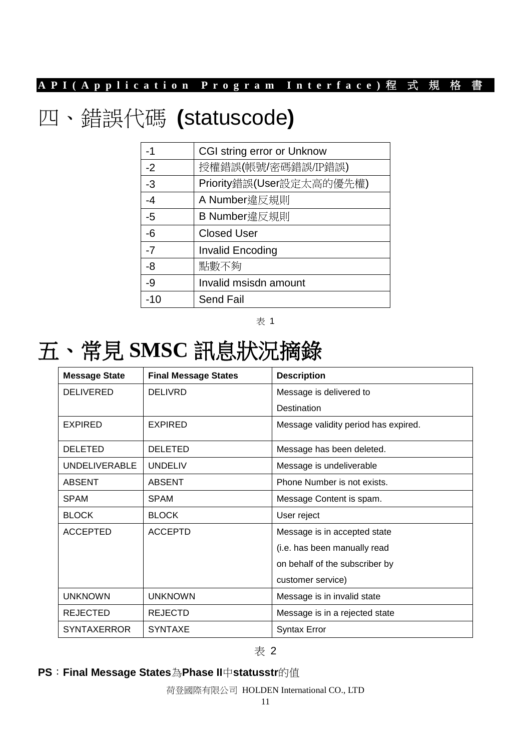# 四、錯誤代碼 **(**statuscode**)**

| -1    | <b>CGI string error or Unknow</b> |
|-------|-----------------------------------|
| $-2$  | 授權錯誤(帳號/密碼錯誤/IP錯誤)                |
| $-3$  | Priority錯誤(User設定太高的優先權)          |
| $-4$  | A Number違反規則                      |
| -5    | B Number違反規則                      |
| $-6$  | <b>Closed User</b>                |
| $-7$  | <b>Invalid Encoding</b>           |
| -8    | 點數不夠                              |
| $-9$  | Invalid msisdn amount             |
| $-10$ | <b>Send Fail</b>                  |

表 1

# 五、常見 **SMSC** 訊息狀況摘錄

| <b>Message State</b> | <b>Final Message States</b> | <b>Description</b>                   |
|----------------------|-----------------------------|--------------------------------------|
| <b>DELIVERED</b>     | <b>DELIVRD</b>              | Message is delivered to              |
|                      |                             | Destination                          |
| <b>EXPIRED</b>       | <b>EXPIRED</b>              | Message validity period has expired. |
| <b>DELETED</b>       | <b>DELETED</b>              | Message has been deleted.            |
| <b>UNDELIVERABLE</b> | <b>UNDELIV</b>              | Message is undeliverable             |
| <b>ABSENT</b>        | <b>ABSENT</b>               | Phone Number is not exists.          |
| <b>SPAM</b>          | <b>SPAM</b>                 | Message Content is spam.             |
| <b>BLOCK</b>         | <b>BLOCK</b>                | User reject                          |
| <b>ACCEPTED</b>      | <b>ACCEPTD</b>              | Message is in accepted state         |
|                      |                             | (i.e. has been manually read         |
|                      |                             | on behalf of the subscriber by       |
|                      |                             | customer service)                    |
| <b>UNKNOWN</b>       | <b>UNKNOWN</b>              | Message is in invalid state          |
| <b>REJECTED</b>      | <b>REJECTD</b>              | Message is in a rejected state       |
| <b>SYNTAXERROR</b>   | <b>SYNTAXE</b>              | <b>Syntax Error</b>                  |

#### 表 2

### **PS**:**Final Message States**為**Phase II**中**statusstr**的值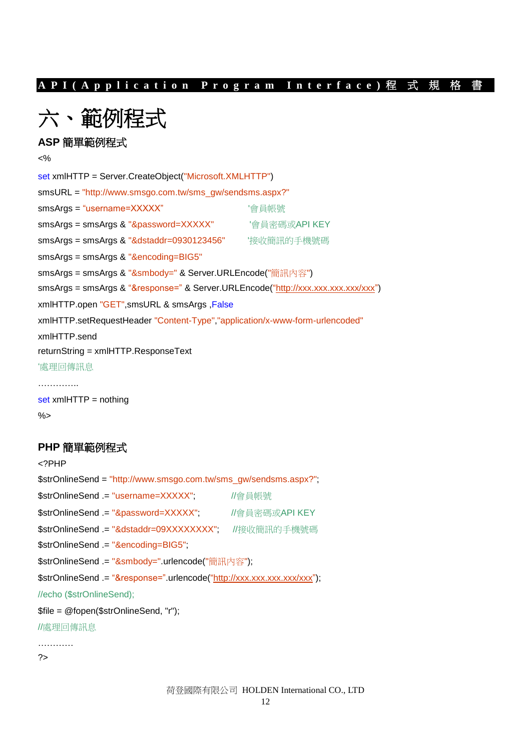六、範例程式

### **ASP** 簡單範例程式

<%

set xmlHTTP = Server.CreateObject("Microsoft.XMLHTTP") smsURL = "http://www.smsgo.com.tw/sms\_gw/sendsms.aspx?" smsArgs = "username=XXXXX"  $\qquad$  '會員帳號 smsArgs = smsArgs & "&password=XXXXX" '會員密碼或API KEY smsArgs = smsArgs & "&dstaddr=0930123456" '接收簡訊的手機號碼 smsArgs = smsArgs & "&encoding=BIG5" smsArgs = smsArgs & "&smbody=" & Server.URLEncode("簡訊內容") smsArgs = smsArgs & "&response=" & Server.URLEncode(["http://xxx.xxx.xxx.xxx/xxx"](http://xxx.xxx.xxx.xxx/xxx)) xmlHTTP.open "GET",smsURL & smsArgs ,False xmlHTTP.setRequestHeader "Content-Type","application/x-www-form-urlencoded" xmlHTTP.send returnString = xmlHTTP.ResponseText '處理回傳訊息 ………….. set xmlHTTP = nothing

%>

#### **PHP** 簡單範例程式

<?PHP \$strOnlineSend = "http://www.smsgo.com.tw/sms\_gw/sendsms.aspx?"; \$strOnlineSend .= "username=XXXXX"; //會員帳號 \$strOnlineSend .= "&password=XXXXX"; //會員密碼或API KEY \$strOnlineSend .= "&dstaddr=09XXXXXXXX"; //接收簡訊的手機號碼 \$strOnlineSend .= "&encoding=BIG5"; \$strOnlineSend .= "&smbody=".urlencode("簡訊內容"); \$strOnlineSend .= "&response=".urlencode(["http://xxx.xxx.xxx.xxx/xxx"](http://xxx.xxx.xxx.xxx/xxx)); //echo (\$strOnlineSend); \$file = @fopen(\$strOnlineSend, "r"); //處理回傳訊息 ………… ?>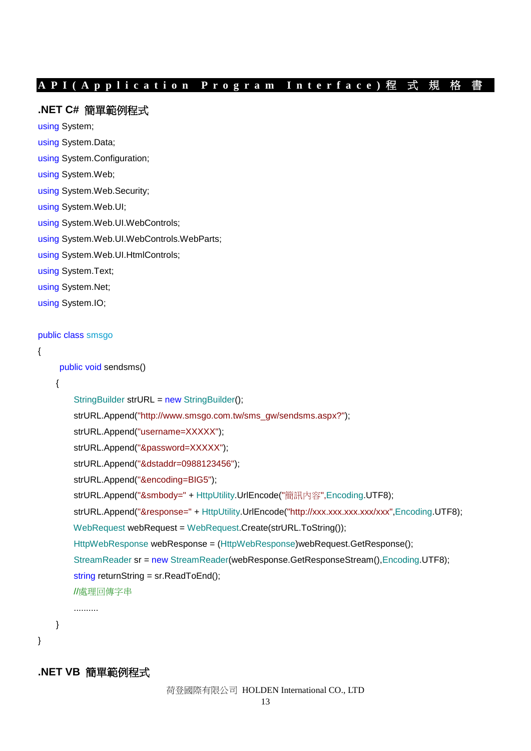#### **.NET C#** 簡單範例程式

using System;

- using System.Data;
- using System.Configuration;

```
using System.Web;
```
using System.Web.Security;

```
using System.Web.UI;
```
- using System.Web.UI.WebControls;
- using System.Web.UI.WebControls.WebParts;
- using System.Web.UI.HtmlControls;
- using System.Text;
- using System.Net;

using System.IO;

#### public class smsgo

```
{
```
public void sendsms()

{

```
 StringBuilder strURL = new StringBuilder();
 strURL.Append("http://www.smsgo.com.tw/sms_gw/sendsms.aspx?");
 strURL.Append("username=XXXXX");
 strURL.Append("&password=XXXXX");
 strURL.Append("&dstaddr=0988123456");
 strURL.Append("&encoding=BIG5");
 strURL.Append("&smbody=" + HttpUtility.UrlEncode("簡訊內容",Encoding.UTF8);
strURL.Append("&response=" + HttpUtility.UrlEncode("http://xxx.xxx.xxx.xxx/xxx",Encoding.UTF8);
 WebRequest webRequest = WebRequest.Create(strURL.ToString());
 HttpWebResponse webResponse = (HttpWebResponse)webRequest.GetResponse();
 StreamReader sr = new StreamReader(webResponse.GetResponseStream(),Encoding.UTF8);
 string returnString = sr.ReadToEnd();
 //處理回傳字串
 ..........
```
}

}

**.NET VB** 簡單範例程式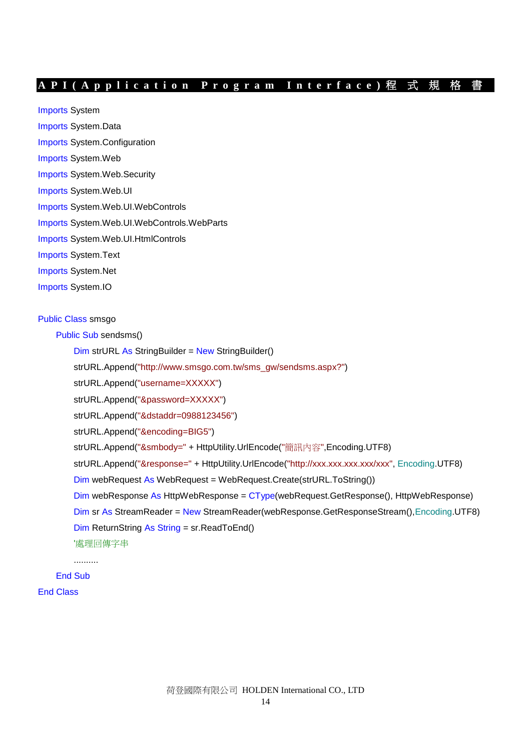Imports System

- Imports System.Data
- Imports System.Configuration
- Imports System.Web
- Imports System.Web.Security
- Imports System.Web.UI
- Imports System.Web.UI.WebControls
- Imports System.Web.UI.WebControls.WebParts
- Imports System.Web.UI.HtmlControls
- Imports System.Text
- Imports System.Net
- Imports System.IO

#### Public Class smsgo

Public Sub sendsms()

Dim strURL As StringBuilder = New StringBuilder()

strURL.Append("http://www.smsgo.com.tw/sms\_gw/sendsms.aspx?")

strURL.Append("username=XXXXX")

strURL.Append("&password=XXXXX")

strURL.Append("&dstaddr=0988123456")

strURL.Append("&encoding=BIG5")

strURL.Append("&smbody=" + HttpUtility.UrlEncode("簡訊內容",Encoding.UTF8)

strURL.Append("&response=" + HttpUtility.UrlEncode("http://xxx.xxx.xxx.xxx/xxx", Encoding.UTF8)

Dim webRequest As WebRequest = WebRequest.Create(strURL.ToString())

 $Dim$  webResponse As HttpWebResponse =  $CType$  (webRequest. GetResponse), HttpWebResponse)

Dim sr As StreamReader = New StreamReader(webResponse.GetResponseStream(),Encoding.UTF8)

Dim ReturnString As String = sr.ReadToEnd()

'處理回傳字串

End Sub

..........

End Class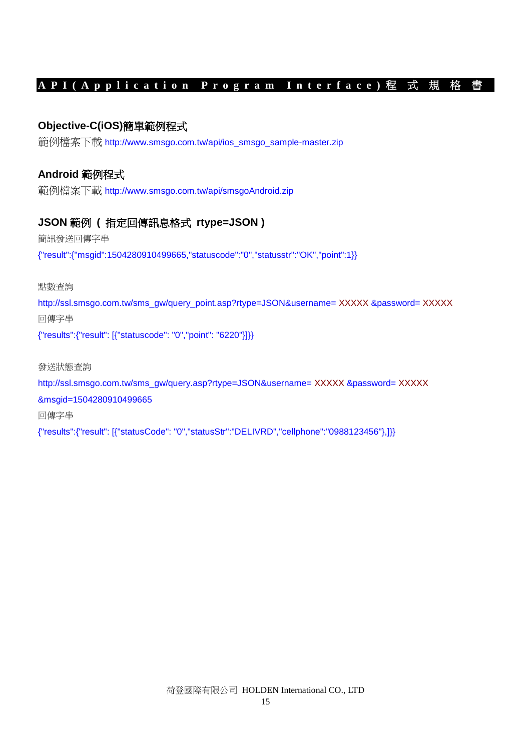### **Objective-C(iOS)**簡單範例程式

範例檔案下載 [http://www.smsgo.com.tw/api/ios\\_smsgo\\_sample-master.zip](http://www.smsgo.com.tw/api/ios_smsgo_sample-master.zip)

### **Android** 範例程式

範例檔案下載 http://www.smsgo.com.tw/api/smsgoAndroid.zip

### **JSON** 範例 **(** 指定回傳訊息格式 **rtype=JSON )**

簡訊發送回傳字串

{"result":{"msgid":1504280910499665,"statuscode":"0","statusstr":"OK","point":1}}

點數查詢

http://ssl.smsgo.com.tw/sms\_gw/query\_point.asp?rtype=JSON&username= XXXXX &password= XXXXX 回傳字串

{"results":{"result": [{"statuscode": "0","point": "6220"}]}}

發送狀態查詢

http://ssl.smsgo.com.tw/sms\_gw/query.asp?rtype=JSON&username= XXXXX &password= XXXXX

&msgid=1504280910499665

回傳字串

{"results":{"result": [{"statusCode": "0","statusStr":"DELIVRD","cellphone":"0988123456"},]}}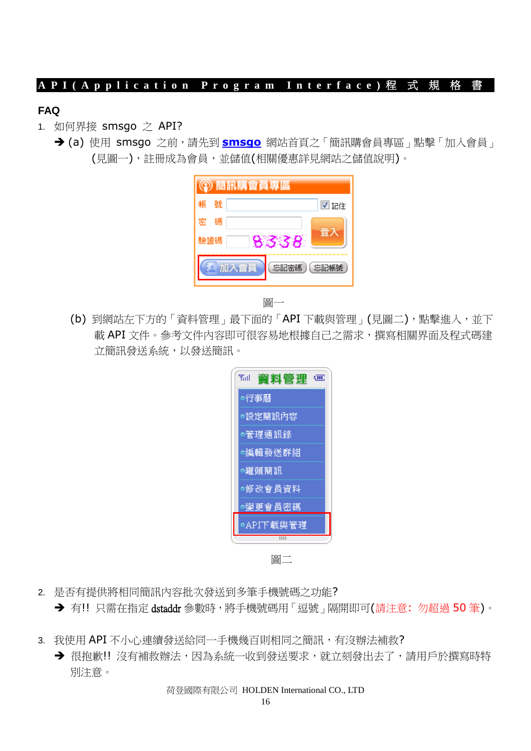### **FAQ**

- 1. 如何界接 smsgo 之 API?
	- **→ (a)** 使用 [smsgo](http://www.smsgo.com.tw/) 之前,請先到 smsgo 網站首頁之「簡訊購會員專區」點擊「加入會員」 (見圖一),註冊成為會員,並儲值(相關優惠詳見網站之儲值說明)。

| ② 簡訊購會員專區       |      |  |  |
|-----------------|------|--|--|
| 號<br>帳          | ■記住  |  |  |
| 碼<br>栾          |      |  |  |
| 驗證碼             | 8338 |  |  |
| 〔忘記密碼〕<br>〔忘記帳號 |      |  |  |



(b) 到網站左下方的「資料管理」最下面的「API 下載與管理」(見圖二),點擊進入,並下 載 API 文件。參考文件内容即可很容易地根據自己之需求,撰寫相關界面及程式碼建 立簡訊發送系統,以發送簡訊。

| ۳ul<br>資料管理<br>द्गापा |  |  |
|-----------------------|--|--|
| ◎行事曆                  |  |  |
| ◎設定簡訊內容               |  |  |
| ◎管理通訊錄                |  |  |
| ○編輯發送群組               |  |  |
| ◎罐頭簡訊                 |  |  |
| ◎修改會員資料               |  |  |
| ◎變更會員密碼               |  |  |
| ●API下載與管理             |  |  |
|                       |  |  |

圖二

- 2. 是否有提供將相同簡訊內容批次發送到多筆手機號碼之功能?
	- → 有!! 只需在指定 dstaddr 參數時,將手機號碼用 「逗號 」隔開即可(請注意: 勿超過 50 筆)。
- 3. 我使用 API 不小心連續發送給同一手機幾百則相同之簡訊,有沒辦法補救?
	- → 很抱歉!! 沒有補救辦法,因為系統一收到發送要求,就立刻發出去了,請用戶於撰寫時特 別注意。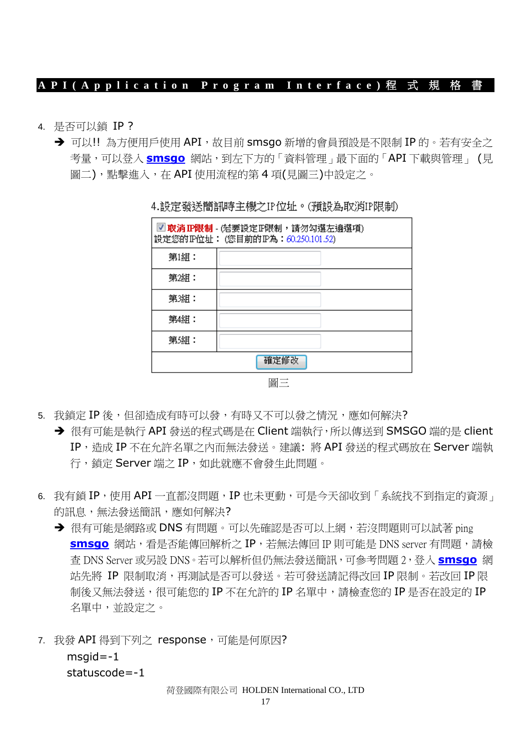- 4. 是否可以鎖 IP ?
	- → 可以!! 為方便用戶使用 API, 故目前 smsqo 新增的會員預設是不限制 IP 的。若有安全之 考量,可以登入 **[smsgo](http://www.smsgo.com.tw/)** 網站,到左下方的「資料管理」最下面的「API 下載與管理」 (見 圖二),點擊進入,在 API 使用流程的第 4 項(見圖三)中設定之。

| ■ 取消 IP限制 - (若要設定 IP限制,請勿勾選左邊選項)<br>設定您的IP位址: (您目前的IP為:60.250.101.52) |    |
|-----------------------------------------------------------------------|----|
| 第1組:                                                                  |    |
| 第2組:                                                                  |    |
| 第3組:                                                                  |    |
| 第4組:                                                                  |    |
| 第5組:                                                                  |    |
| 確定修改                                                                  |    |
|                                                                       | 圖三 |

4.設定發送簡訊時主機之IP位址。(預設為取消IP限制)

- 5. 我銷定 IP 後, 但卻浩成有時可以發, 有時又不可以發之情況, 應如何解決?
	- → 很有可能是執行 API 發送的程式碼是在 Client 端執行, 所以傳送到 SMSGO 端的是 client IP,造成 IP 不在允許名單之內而無法發送。建議: 將 API 發送的程式碼放在 Server 端執 行,鎖定 Server 端之 IP, 如此就應不會發生此問題。
- 6. 我有鎖 IP,使用 API 一直都沒問題, IP 也未更動,可是今天卻收到「系統找不到指定的資源」 的訊息,無法發送簡訊,應如何解決?
	- → 很有可能是網路或 DNS 有問題。可以先確認是否可以上網,若沒問題則可以試著 ping **[smsgo](http://www.smsgo.com.tw/)** 網站,看是否能傳回解析之 IP,若無法傳回 IP 則可能是 DNS server 有問題,請檢 查 DNS Server 或另設 DNS。若可以解析但仍無法發送簡訊,可參考問題 2,登入 **[smsgo](http://www.smsgo.com.tw/)** 網 站先將 IP 限制取消,再測試是否可以發送。若可發送請記得改回 IP 限制。若改回 IP 限 制後又無法發送,很可能您的 IP 不在允許的 IP 名單中,請檢查您的 IP 是否在設定的 IP 名單中,並設定之。
- 7. 我發 API 得到下列之 response,可能是何原因?  $msqid = -1$

statuscode=-1